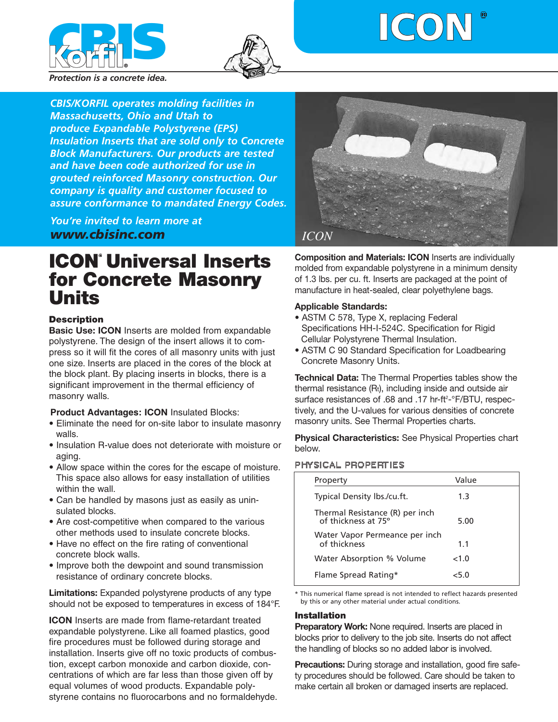





*Protection is a concrete idea.*

*CBIS/KORFIL operates molding facilities in Massachusetts, Ohio and Utah to produce Expandable Polystyrene (EPS) Insulation Inserts that are sold only to Concrete Block Manufacturers. Our products are tested and have been code authorized for use in grouted reinforced Masonry construction. Our company is quality and customer focused to assure conformance to mandated Energy Codes.*

*You're invited to learn more at www.cbisinc.com*

# **ICON<sup>®</sup> Universal Inserts for Concrete Masonry Units**

# **Description**

**Basic Use: ICON** Inserts are molded from expandable polystyrene. The design of the insert allows it to compress so it will fit the cores of all masonry units with just one size. Inserts are placed in the cores of the block at the block plant. By placing inserts in blocks, there is a significant improvement in the thermal efficiency of masonry walls.

## **Product Advantages: ICON** Insulated Blocks:

- Eliminate the need for on-site labor to insulate masonry walls.
- Insulation R-value does not deteriorate with moisture or aging.
- Allow space within the cores for the escape of moisture. This space also allows for easy installation of utilities within the wall.
- Can be handled by masons just as easily as uninsulated blocks.
- Are cost-competitive when compared to the various other methods used to insulate concrete blocks.
- Have no effect on the fire rating of conventional concrete block walls.
- Improve both the dewpoint and sound transmission resistance of ordinary concrete blocks.

**Limitations:** Expanded polystyrene products of any type should not be exposed to temperatures in excess of 184°F.

**ICON** Inserts are made from flame-retardant treated expandable polystyrene. Like all foamed plastics, good fire procedures must be followed during storage and installation. Inserts give off no toxic products of combustion, except carbon monoxide and carbon dioxide, concentrations of which are far less than those given off by equal volumes of wood products. Expandable polystyrene contains no fluorocarbons and no formaldehyde.



**Composition and Materials: ICON** Inserts are individually molded from expandable polystyrene in a minimum density of 1.3 lbs. per cu. ft. Inserts are packaged at the point of manufacture in heat-sealed, clear polyethylene bags.

# **Applicable Standards:**

- ASTM C 578, Type X, replacing Federal Specifications HH-I-524C. Specification for Rigid Cellular Polystyrene Thermal Insulation.
- ASTM C 90 Standard Specification for Loadbearing Concrete Masonry Units.

**Technical Data:** The Thermal Properties tables show the thermal resistance (Rt), including inside and outside air surface resistances of .68 and .17 hr-ft<sup>2</sup>-°F/BTU, respectively, and the U-values for various densities of concrete masonry units. See Thermal Properties charts.

**Physical Characteristics:** See Physical Properties chart below.

#### PHYSICAL PROPERTIES

| Property                                               | Value |
|--------------------------------------------------------|-------|
| Typical Density lbs./cu.ft.                            | 1.3   |
| Thermal Resistance (R) per inch<br>of thickness at 75° | 5.00  |
| Water Vapor Permeance per inch<br>of thickness         | 11    |
| Water Absorption % Volume                              | <1.0  |
| Flame Spread Rating*                                   | < 5.0 |

\* This numerical flame spread is not intended to reflect hazards presented by this or any other material under actual conditions.

## **Installation**

**Preparatory Work:** None required. Inserts are placed in blocks prior to delivery to the job site. Inserts do not affect the handling of blocks so no added labor is involved.

**Precautions:** During storage and installation, good fire safety procedures should be followed. Care should be taken to make certain all broken or damaged inserts are replaced.